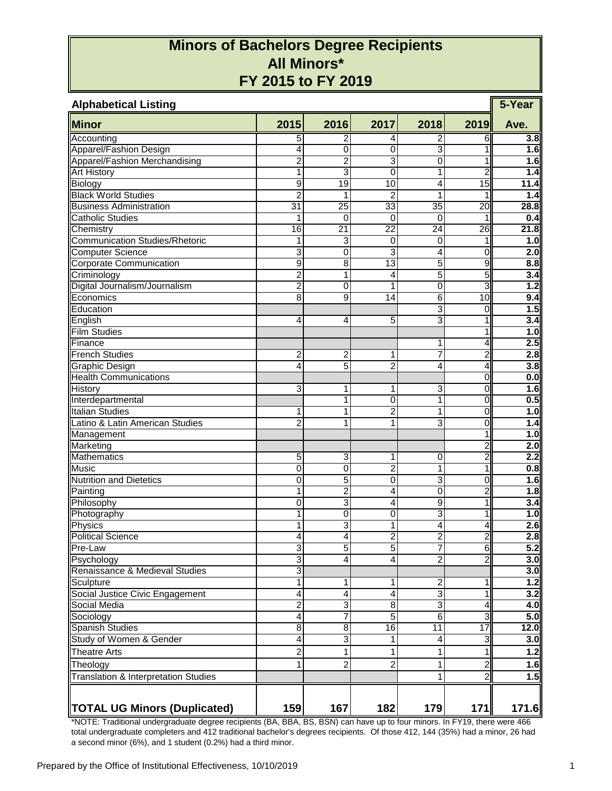## **Minors of Bachelors Degree Recipients All Minors\* FY 2015 to FY 2019**

| <b>Alphabetical Listing</b>          |                         |                 |                         |                |                 |                  |  |  |  |  |
|--------------------------------------|-------------------------|-----------------|-------------------------|----------------|-----------------|------------------|--|--|--|--|
| <b>Minor</b>                         | 2015                    | 2016            | 2017                    | 2018           | 2019            | Ave.             |  |  |  |  |
| Accounting                           | 5                       | 2               | 4                       | 2              | 6               | 3.8              |  |  |  |  |
| Apparel/Fashion Design               | 4                       | 0               | 0                       | 3              | 1               | 1.6              |  |  |  |  |
| Apparel/Fashion Merchandising        | 2                       | 2               | 3                       | 0              |                 | 1.6              |  |  |  |  |
| <b>Art History</b>                   | 1                       | 3               | 0                       | 1              | 2               | 1.4              |  |  |  |  |
| Biology                              | 9                       | $\overline{19}$ | $\overline{10}$         | 4              | $\overline{15}$ | 11.4             |  |  |  |  |
| <b>Black World Studies</b>           | $\overline{2}$          | 1               | $\overline{2}$          | 1              | 1               | 1.4              |  |  |  |  |
| <b>Business Administration</b>       | $\overline{31}$         | $\overline{25}$ | 33                      | 35             | $\overline{20}$ | 28.8             |  |  |  |  |
| <b>Catholic Studies</b>              | 1                       | 0               | 0                       | $\mathbf 0$    |                 | 0.4              |  |  |  |  |
| Chemistry                            | 16                      | 21              | $\overline{22}$         | 24             | $\overline{26}$ | 21.8             |  |  |  |  |
| Communication Studies/Rhetoric       | 1                       | 3               | 0                       | 0              | 1               | 1.0              |  |  |  |  |
| <b>Computer Science</b>              | 3                       | 0               | 3                       | 4              | o               | 2.0              |  |  |  |  |
| <b>Corporate Communication</b>       | $\overline{9}$          | $\overline{8}$  | 13                      | 5              | 9               | 8.8              |  |  |  |  |
| Criminology                          | $\overline{c}$          | 1               | 4                       | 5              | 5               | $\overline{3.4}$ |  |  |  |  |
| Digital Journalism/Journalism        | $\overline{2}$          | 0               | 1                       | 0              | ω               | 1.2              |  |  |  |  |
| Economics                            | $\overline{8}$          | 9               | 14                      | $\overline{6}$ | 10              | 9.4              |  |  |  |  |
| Education                            |                         |                 |                         | $\overline{3}$ | $\mathbf 0$     | 1.5              |  |  |  |  |
| English                              | 4                       | 4               | 5                       | $\overline{3}$ | 1               | 3.4              |  |  |  |  |
| <b>Film Studies</b>                  |                         |                 |                         |                | 1               | 1.0              |  |  |  |  |
| Finance                              |                         |                 |                         | 1              | 4               | 2.5              |  |  |  |  |
| <b>French Studies</b>                | 2                       | 2               | 1                       | 7              | $\overline{2}$  | 2.8              |  |  |  |  |
| <b>Graphic Design</b>                | 4                       | $\overline{5}$  | $\overline{2}$          | 4              | 4               | 3.8              |  |  |  |  |
| <b>Health Communications</b>         |                         |                 |                         |                | 0               | 0.0              |  |  |  |  |
| <b>History</b>                       | 3                       | 1               | 1                       | 3              | O               | 1.6              |  |  |  |  |
| Interdepartmental                    |                         | 1               | 0                       | 1              | $\overline{0}$  | 0.5              |  |  |  |  |
| <b>Italian Studies</b>               | 1                       | 1               | $\overline{2}$          | 1              | $\overline{0}$  | 1.0              |  |  |  |  |
| Latino & Latin American Studies      | $\overline{2}$          | 1               | 1                       | 3              | O               | 1.4              |  |  |  |  |
| Management                           |                         |                 |                         |                | 1               | 1.0              |  |  |  |  |
| Marketing                            |                         |                 |                         |                | $\overline{2}$  | 2.0              |  |  |  |  |
| Mathematics                          | 5                       | 3               | 1                       | 0              | 2               | 2.2              |  |  |  |  |
| Music                                | 0                       | 0               | $\overline{2}$          | 1              | 1               | 0.8              |  |  |  |  |
| <b>Nutrition and Dietetics</b>       | $\overline{0}$          | 5               | 0                       | 3              | o               | 1.6              |  |  |  |  |
| Painting                             | 1                       | $\overline{2}$  | 4                       | 0              | $\overline{2}$  | 1.8              |  |  |  |  |
| Philosophy                           | 0                       | 3               | 4                       | 9              | 1               | 3.4              |  |  |  |  |
| Photography                          | 1                       | 0               | 0                       | 3              | 1               | 1.0              |  |  |  |  |
| Physics                              | 1                       | 3               | 1                       | 4              | 4               | 2.6              |  |  |  |  |
| <b>Political Science</b>             | 4                       | $\overline{4}$  | 2                       | $\overline{2}$ | $\overline{2}$  | 2.8              |  |  |  |  |
| Pre-Law                              | 3                       | $\overline{5}$  | 5                       | 7              | 6               | 5.2              |  |  |  |  |
| Psychology                           | $\overline{3}$          | 4               | 4                       | $\overline{2}$ | $\overline{2}$  | 3.0              |  |  |  |  |
| Renaissance & Medieval Studies       | 3                       |                 |                         |                |                 | 3.0              |  |  |  |  |
| Sculpture                            | 1                       | 1               | 1                       | 2              | 1               | 1.2              |  |  |  |  |
| Social Justice Civic Engagement      | 4                       | 4               | $\overline{\mathbf{A}}$ | 3              | 1               | 3.2              |  |  |  |  |
| <b>Social Media</b>                  | $\overline{2}$          | 3               | 8                       | 3              | 4               | 4.0              |  |  |  |  |
| Sociology                            | $\overline{4}$          | 7               | $\overline{5}$          | $\overline{6}$ | 3               | 5.0              |  |  |  |  |
| <b>Spanish Studies</b>               | $\overline{8}$          | 8               | $\overline{16}$         | 11             | $\overline{17}$ | 12.0             |  |  |  |  |
| Study of Women & Gender              | $\overline{4}$          | 3               | 1                       | 4              | 3               | 3.0              |  |  |  |  |
| <b>Theatre Arts</b>                  | $\overline{\mathbf{c}}$ | 1               | 1                       | 1              | 1               | 1.2              |  |  |  |  |
|                                      |                         |                 |                         |                |                 |                  |  |  |  |  |
| Theology                             | 1                       | 2               | 2                       | 1              | 2               | 1.6              |  |  |  |  |
| Translation & Interpretation Studies |                         |                 |                         | 1              | $\overline{2}$  | 1.5              |  |  |  |  |
| <b>TOTAL UG Minors (Duplicated)</b>  | 159                     | 167             | 182                     | 179            | 171             | 171.6            |  |  |  |  |

\*NOTE: Traditional undergraduate degree recipients (BA, BBA, BS, BSN) can have up to four minors. In FY19, there were 466 total undergraduate completers and 412 traditional bachelor's degrees recipients. Of those 412, 144 (35%) had a minor, 26 had a second minor (6%), and 1 student (0.2%) had a third minor.